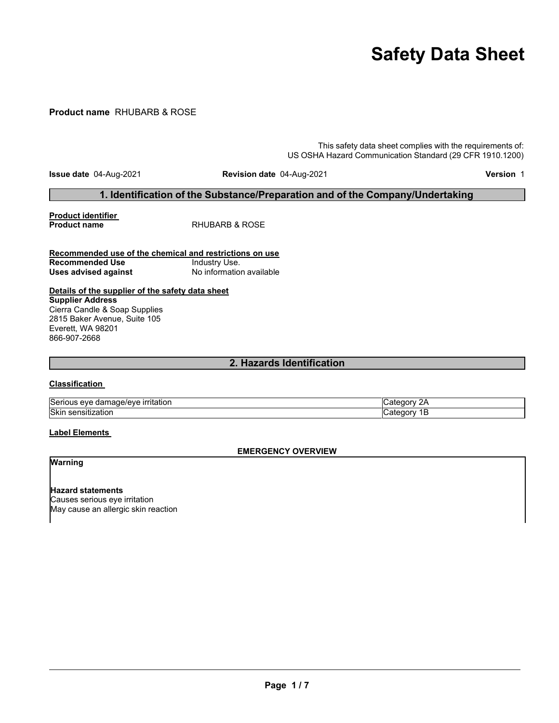# **Safety Data Sheet**

#### **Product name** RHUBARB & ROSE

This safety data sheet complies with the requirements of: US OSHA Hazard Communication Standard (29 CFR 1910.1200)

**Issue date** 04-Aug-2021 **Revision date** 04-Aug-2021 **Version** 1

#### **1. Identification of the Substance/Preparation and of the Company/Undertaking**

**Product identifier**

**RHUBARB & ROSE** 

#### **Recommended use of the chemical and restrictions on use Recommended Use Industry Use.**<br> **Uses advised against International Mo** information available **Uses** advised against

#### **Details of the supplier of the safety data sheet Supplier Address** Cierra Candle & Soap Supplies 2815 Baker Avenue, Suite 105 Everett, WA 98201 866-907-2668

#### **2. Hazards Identification**

#### **Classification**

| Serious eve<br>$\overline{\phantom{a}}$<br>rıtatıon<br>aar<br>1ade/eve | --   |
|------------------------------------------------------------------------|------|
| <b>Skin</b>                                                            |      |
| .                                                                      | 2715 |
| ∠auon                                                                  | ب .  |
| . SEHSIUZ                                                              |      |
|                                                                        | __   |

#### **Label Elements**

#### **EMERGENCY OVERVIEW**

**Warning**

**Hazard statements** Causes serious eye irritation May cause an allergic skin reaction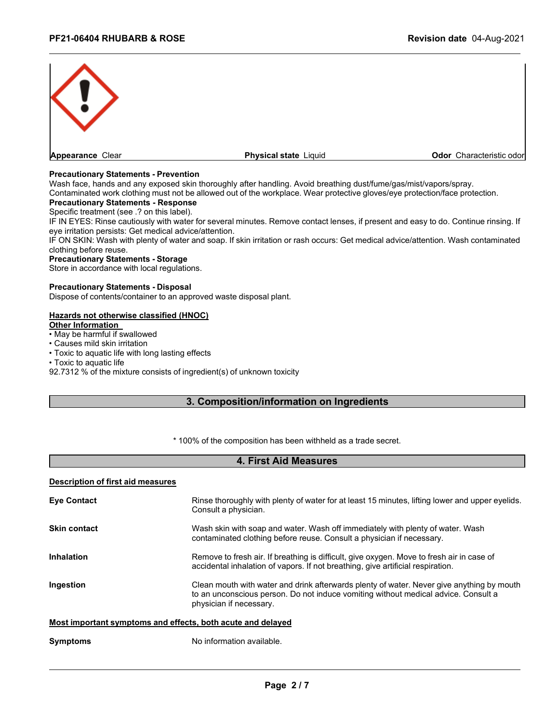

#### **Precautionary Statements - Prevention**

Wash face, hands and any exposed skin thoroughly after handling. Avoid breathing dust/fume/gas/mist/vapors/spray.

Contaminated work clothing must not be allowed out of the workplace. Wear protective gloves/eye protection/face protection.

#### **Precautionary Statements - Response**

Specific treatment (see .? on this label).

IF IN EYES: Rinse cautiously with water for several minutes. Remove contact lenses, if present and easy to do. Continue rinsing. If eye irritation persists: Get medical advice/attention.

IF ON SKIN: Wash with plenty of water and soap. If skin irritation or rash occurs: Get medical advice/attention. Wash contaminated clothing before reuse.

#### **Precautionary Statements - Storage**

Store in accordance with local regulations.

#### **Precautionary Statements - Disposal**

Dispose of contents/container to an approved waste disposal plant.

#### **Hazards not otherwise classified (HNOC)**

**Other Information** 

- May be harmful if swallowed
- Causes mild skin irritation
- Toxic to aquatic life with long lasting effects
- Toxic to aquatic life

92.7312 % of the mixture consists of ingredient(s) of unknown toxicity

#### **3. Composition/information on Ingredients**

\* 100% of the composition has been withheld as a trade secret.

#### **4. First Aid Measures**

#### **Description of first aid measures**

| <b>Eye Contact</b>                                          | Rinse thoroughly with plenty of water for at least 15 minutes, lifting lower and upper eyelids.<br>Consult a physician.                                                                                    |  |
|-------------------------------------------------------------|------------------------------------------------------------------------------------------------------------------------------------------------------------------------------------------------------------|--|
| <b>Skin contact</b>                                         | Wash skin with soap and water. Wash off immediately with plenty of water. Wash<br>contaminated clothing before reuse. Consult a physician if necessary.                                                    |  |
| <b>Inhalation</b>                                           | Remove to fresh air. If breathing is difficult, give oxygen. Move to fresh air in case of<br>accidental inhalation of vapors. If not breathing, give artificial respiration.                               |  |
| Ingestion                                                   | Clean mouth with water and drink afterwards plenty of water. Never give anything by mouth<br>to an unconscious person. Do not induce vomiting without medical advice. Consult a<br>physician if necessary. |  |
| Most important symptoms and effects, both acute and delayed |                                                                                                                                                                                                            |  |

#### **Symptoms** No information available.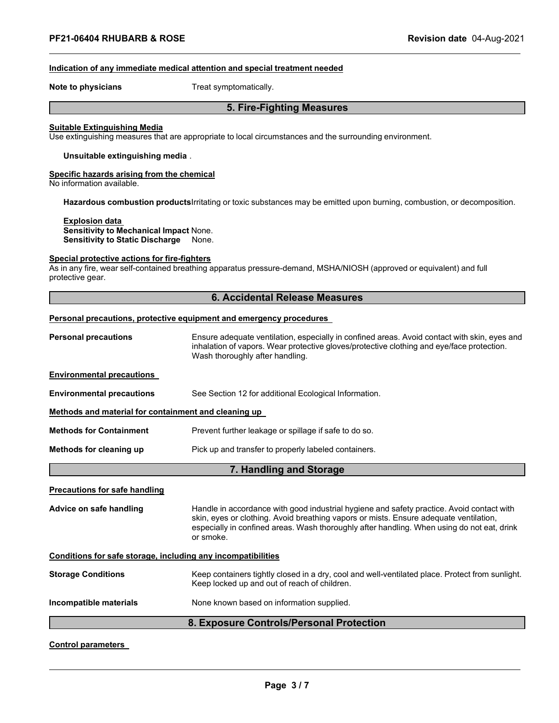#### **Indication of any immediate medical attention and special treatment needed**

**Note to physicians** Treat symptomatically.

#### **5. Fire-Fighting Measures**

#### **Suitable Extinguishing Media**

Use extinguishing measures that are appropriate to local circumstances and the surrounding environment.

#### **Unsuitable extinguishing media** .

#### **Specific hazards arising from the chemical**

No information available.

**Hazardous combustion products**Irritating or toxic substances may be emitted upon burning, combustion, or decomposition.

**Explosion data Sensitivity to Mechanical Impact** None. **Sensitivity to Static Discharge** None.

#### **Special protective actions for fire-fighters**

As in any fire, wear self-contained breathing apparatus pressure-demand, MSHA/NIOSH (approved or equivalent) and full protective gear.

| 6. Accidental Release Measures                               |                                                                                                                                                                                                                                                                                               |  |  |
|--------------------------------------------------------------|-----------------------------------------------------------------------------------------------------------------------------------------------------------------------------------------------------------------------------------------------------------------------------------------------|--|--|
|                                                              | Personal precautions, protective equipment and emergency procedures                                                                                                                                                                                                                           |  |  |
| <b>Personal precautions</b>                                  | Ensure adequate ventilation, especially in confined areas. Avoid contact with skin, eyes and<br>inhalation of vapors. Wear protective gloves/protective clothing and eye/face protection.<br>Wash thoroughly after handling.                                                                  |  |  |
| <b>Environmental precautions</b>                             |                                                                                                                                                                                                                                                                                               |  |  |
| <b>Environmental precautions</b>                             | See Section 12 for additional Ecological Information.                                                                                                                                                                                                                                         |  |  |
| Methods and material for containment and cleaning up         |                                                                                                                                                                                                                                                                                               |  |  |
| <b>Methods for Containment</b>                               | Prevent further leakage or spillage if safe to do so.                                                                                                                                                                                                                                         |  |  |
| Methods for cleaning up                                      | Pick up and transfer to properly labeled containers.                                                                                                                                                                                                                                          |  |  |
| 7. Handling and Storage                                      |                                                                                                                                                                                                                                                                                               |  |  |
| <b>Precautions for safe handling</b>                         |                                                                                                                                                                                                                                                                                               |  |  |
| Advice on safe handling                                      | Handle in accordance with good industrial hygiene and safety practice. Avoid contact with<br>skin, eyes or clothing. Avoid breathing vapors or mists. Ensure adequate ventilation,<br>especially in confined areas. Wash thoroughly after handling. When using do not eat, drink<br>or smoke. |  |  |
| Conditions for safe storage, including any incompatibilities |                                                                                                                                                                                                                                                                                               |  |  |
| <b>Storage Conditions</b>                                    | Keep containers tightly closed in a dry, cool and well-ventilated place. Protect from sunlight.<br>Keep locked up and out of reach of children.                                                                                                                                               |  |  |
| Incompatible materials                                       | None known based on information supplied.                                                                                                                                                                                                                                                     |  |  |
| 8. Exposure Controls/Personal Protection                     |                                                                                                                                                                                                                                                                                               |  |  |

#### **Control parameters**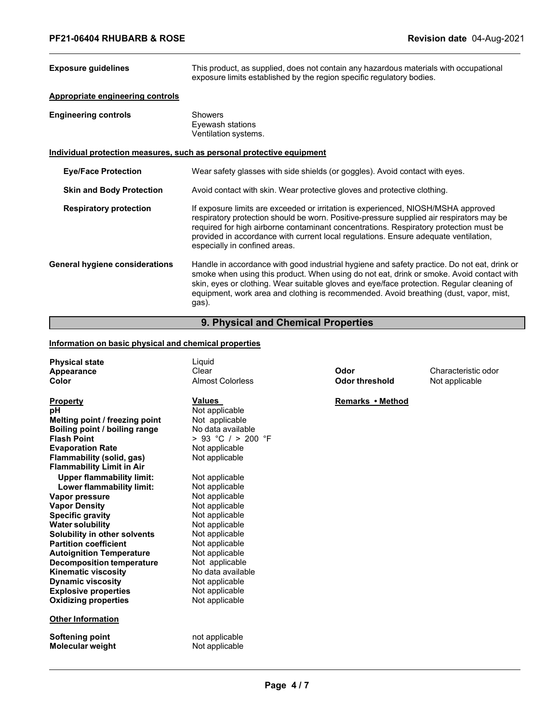| <b>Exposure guidelines</b>                                            | This product, as supplied, does not contain any hazardous materials with occupational<br>exposure limits established by the region specific regulatory bodies.                                                                                                                                                                                                                                 |  |  |
|-----------------------------------------------------------------------|------------------------------------------------------------------------------------------------------------------------------------------------------------------------------------------------------------------------------------------------------------------------------------------------------------------------------------------------------------------------------------------------|--|--|
| <b>Appropriate engineering controls</b>                               |                                                                                                                                                                                                                                                                                                                                                                                                |  |  |
| <b>Engineering controls</b>                                           | <b>Showers</b><br>Eyewash stations<br>Ventilation systems.                                                                                                                                                                                                                                                                                                                                     |  |  |
| Individual protection measures, such as personal protective equipment |                                                                                                                                                                                                                                                                                                                                                                                                |  |  |
| <b>Eye/Face Protection</b>                                            | Wear safety glasses with side shields (or goggles). Avoid contact with eyes.                                                                                                                                                                                                                                                                                                                   |  |  |
| <b>Skin and Body Protection</b>                                       | Avoid contact with skin. Wear protective gloves and protective clothing.                                                                                                                                                                                                                                                                                                                       |  |  |
| <b>Respiratory protection</b>                                         | If exposure limits are exceeded or irritation is experienced, NIOSH/MSHA approved<br>respiratory protection should be worn. Positive-pressure supplied air respirators may be<br>required for high airborne contaminant concentrations. Respiratory protection must be<br>provided in accordance with current local regulations. Ensure adequate ventilation,<br>especially in confined areas. |  |  |
| <b>General hygiene considerations</b>                                 | Handle in accordance with good industrial hygiene and safety practice. Do not eat, drink or<br>smoke when using this product. When using do not eat, drink or smoke. Avoid contact with<br>skin, eyes or clothing. Wear suitable gloves and eye/face protection. Regular cleaning of<br>equipment, work area and clothing is recommended. Avoid breathing (dust, vapor, mist,<br>gas).         |  |  |

### **9. Physical and Chemical Properties**

#### **Information on basic physical and chemical properties**

| <b>Physical state</b><br>Appearance<br>Color                  | Liquid<br>Clear<br><b>Almost Colorless</b> | Odor<br><b>Odor threshold</b> | Characteristic odor<br>Not applicable |
|---------------------------------------------------------------|--------------------------------------------|-------------------------------|---------------------------------------|
| Property                                                      | <b>Values</b>                              | Remarks • Method              |                                       |
| рH                                                            | Not applicable                             |                               |                                       |
| Melting point / freezing point                                | Not applicable                             |                               |                                       |
| Boiling point / boiling range                                 | No data available                          |                               |                                       |
| <b>Flash Point</b>                                            | > 93 °C / > 200 °F                         |                               |                                       |
| <b>Evaporation Rate</b>                                       | Not applicable                             |                               |                                       |
| Flammability (solid, gas)<br><b>Flammability Limit in Air</b> | Not applicable                             |                               |                                       |
| <b>Upper flammability limit:</b>                              | Not applicable                             |                               |                                       |
| Lower flammability limit:                                     | Not applicable                             |                               |                                       |
| Vapor pressure                                                | Not applicable                             |                               |                                       |
| <b>Vapor Density</b>                                          | Not applicable                             |                               |                                       |
| <b>Specific gravity</b>                                       | Not applicable                             |                               |                                       |
| <b>Water solubility</b>                                       | Not applicable                             |                               |                                       |
| Solubility in other solvents                                  | Not applicable                             |                               |                                       |
| <b>Partition coefficient</b>                                  | Not applicable                             |                               |                                       |
| <b>Autoignition Temperature</b>                               | Not applicable                             |                               |                                       |
| <b>Decomposition temperature</b>                              | Not applicable                             |                               |                                       |
| <b>Kinematic viscosity</b>                                    | No data available                          |                               |                                       |
| <b>Dynamic viscosity</b>                                      | Not applicable                             |                               |                                       |
| <b>Explosive properties</b>                                   | Not applicable                             |                               |                                       |
| <b>Oxidizing properties</b>                                   | Not applicable                             |                               |                                       |
| <b>Other Information</b>                                      |                                            |                               |                                       |
| Softening point                                               | not applicable                             |                               |                                       |
| <b>Molecular weight</b>                                       | Not applicable                             |                               |                                       |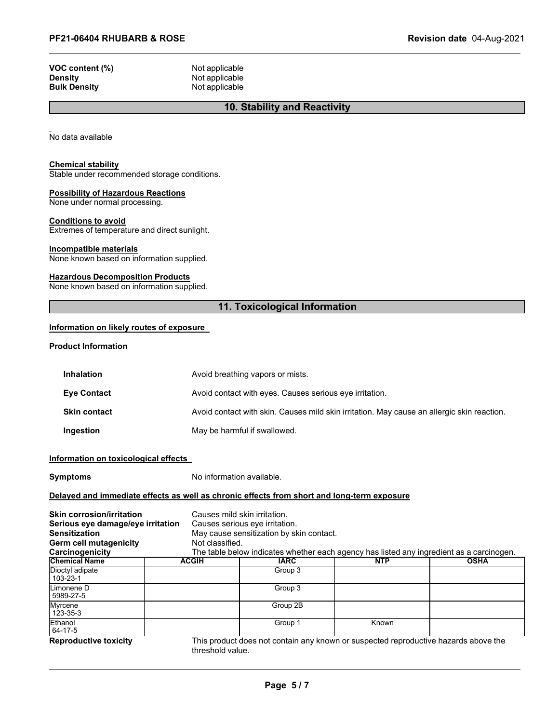| VOC content (%)     |  |
|---------------------|--|
| <b>Density</b>      |  |
| <b>Bulk Density</b> |  |

**Not applicable Not applicable Not applicable** 

#### **10. Stability and Reactivity**

No data available

#### **Chemical stability**

Stable under recommended storage conditions.

#### **Possibility of Hazardous Reactions**

None under normal processing.

#### **Conditions to avoid**

Extremes of temperature and direct sunlight.

#### **Incompatible materials**

None known based on information supplied.

#### **Hazardous Decomposition Products**

None known based on information supplied.

#### **11. Toxicological Information**

#### **Information on likely routes of exposure**

**Product Information**

| <b>Inhalation</b>   | Avoid breathing vapors or mists.                                                           |
|---------------------|--------------------------------------------------------------------------------------------|
| <b>Eve Contact</b>  | Avoid contact with eyes. Causes serious eye irritation.                                    |
| <b>Skin contact</b> | Avoid contact with skin. Causes mild skin irritation. May cause an allergic skin reaction. |
| Ingestion           | May be harmful if swallowed.                                                               |

#### **Information on toxicological effects**

**Symptoms** No information available.

#### **Delayed and immediate effects as well as chronic effects from short and long-term exposure**

| <b>Skin corrosion/irritation</b><br>Serious eye damage/eye irritation<br><b>Sensitization</b><br>Germ cell mutagenicity<br>Carcinogenicity | Not classified.  | Causes mild skin irritation.<br>Causes serious eye irritation.<br>May cause sensitization by skin contact.<br>The table below indicates whether each agency has listed any ingredient as a carcinogen. |            |             |
|--------------------------------------------------------------------------------------------------------------------------------------------|------------------|--------------------------------------------------------------------------------------------------------------------------------------------------------------------------------------------------------|------------|-------------|
| <b>Chemical Name</b>                                                                                                                       | <b>ACGIH</b>     | <b>IARC</b>                                                                                                                                                                                            | <b>NTP</b> | <b>OSHA</b> |
| Dioctyl adipate<br>103-23-1                                                                                                                |                  | Group 3                                                                                                                                                                                                |            |             |
| Limonene D<br>5989-27-5                                                                                                                    |                  | Group 3                                                                                                                                                                                                |            |             |
| Myrcene<br>123-35-3                                                                                                                        |                  | Group 2B                                                                                                                                                                                               |            |             |
| Ethanol<br>64-17-5                                                                                                                         |                  | Group 1                                                                                                                                                                                                | Known      |             |
| <b>Reproductive toxicity</b>                                                                                                               | threshold value. | This product does not contain any known or suspected reproductive hazards above the                                                                                                                    |            |             |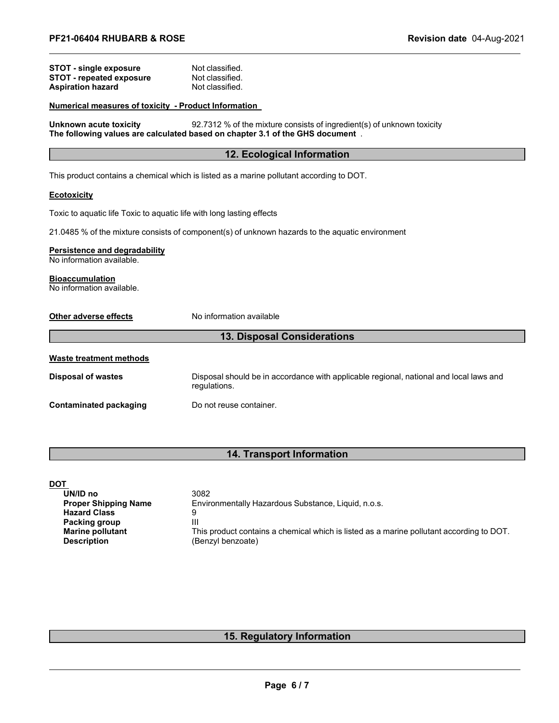#### **STOT** - single exposure Mot classified.<br> **STOT** - repeated exposure Not classified. **STOT** - **repeated exposure** Not classified.<br> **Aspiration hazard** Not classified. **Aspiration hazard**

#### **Numerical measures of toxicity - Product Information**

**Unknown acute toxicity** 92.7312 % of the mixture consists of ingredient(s) of unknown toxicity **The following values are calculated based on chapter 3.1 of the GHS document** .

#### **12. Ecological Information**

This product contains a chemical which is listed as a marine pollutant according to DOT.

#### **Ecotoxicity**

Toxic to aquatic life Toxic to aquatic life with long lasting effects

21.0485 % of the mixture consists of component(s) of unknown hazards to the aquatic environment

#### **Persistence and degradability**

No information available.

## **Bioaccumulation**

No information available.

**Other adverse effects** No information available

#### **13. Disposal Considerations**

| Waste treatment methods |                                                                                                        |
|-------------------------|--------------------------------------------------------------------------------------------------------|
| Disposal of wastes      | Disposal should be in accordance with applicable regional, national and local laws and<br>regulations. |
| Contaminated packaging  | Do not reuse container.                                                                                |

#### **14. Transport Information**

| <u>DOT</u>                  |                                                                                          |
|-----------------------------|------------------------------------------------------------------------------------------|
| UN/ID no                    | 3082                                                                                     |
| <b>Proper Shipping Name</b> | Environmentally Hazardous Substance, Liquid, n.o.s.                                      |
| <b>Hazard Class</b>         |                                                                                          |
| Packing group               | Ш                                                                                        |
| <b>Marine pollutant</b>     | This product contains a chemical which is listed as a marine pollutant according to DOT. |
| <b>Description</b>          | (Benzyl benzoate)                                                                        |

### **15. Regulatory Information**